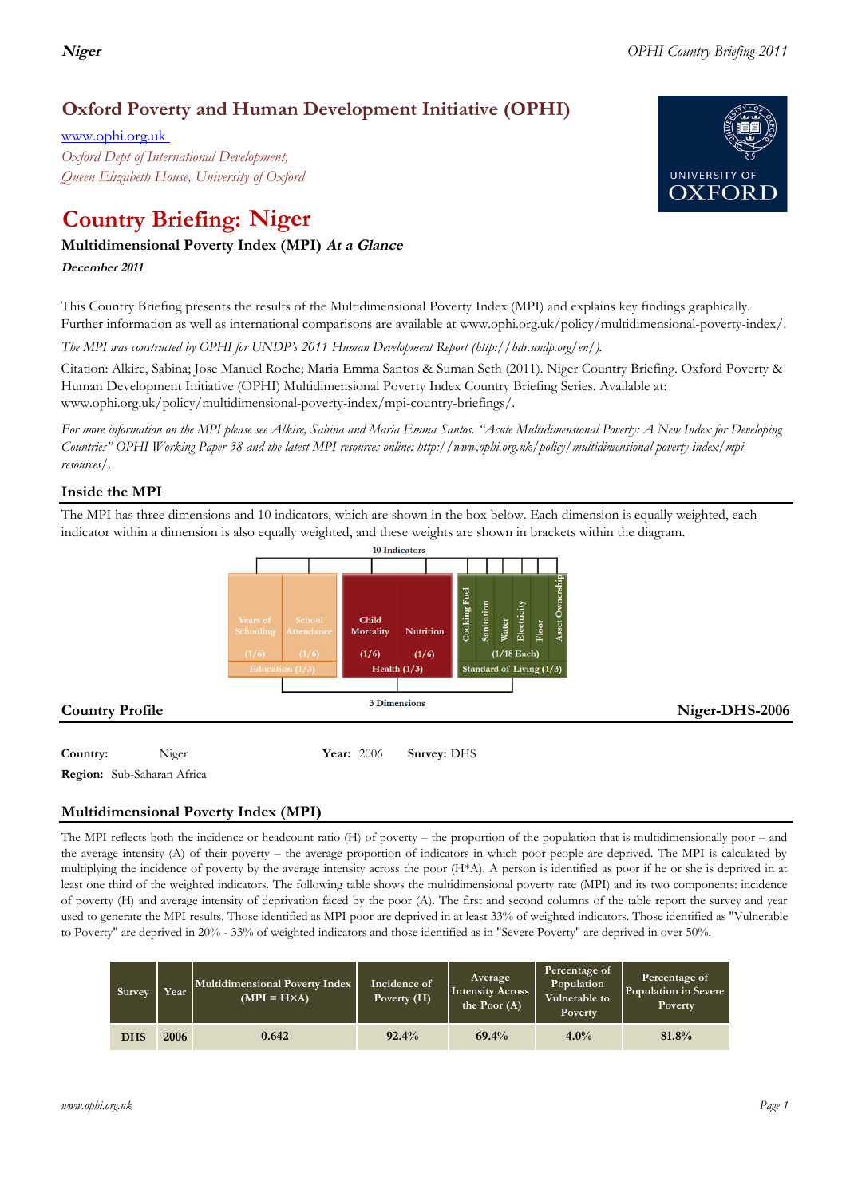*www.ophi.org.uk Page 1*

www.ophi.org.uk *Oxford Dept of International Development, Queen Elizabeth House, University of Oxford*

# **Country Briefing: Niger**

# **Multidimensional Poverty Index (MPI) At <sup>a</sup> Glance**

# **December <sup>2011</sup>**

This Country Briefing presents the results of the Multidimensional Poverty Index (MPI) and explains key findings graphically. Further information as well as international comparisons are available at www.ophi.org.uk/policy/multidimensional-poverty-index/.

*The MPI was constructed by OPHI for UNDP's 2011 Human Development Report (http://hdr.undp.org/en/).*

Citation: Alkire, Sabina; Jose Manuel Roche; Maria Emma Santos & Suman Seth (2011). Niger Country Briefing. Oxford Poverty & Human Development Initiative (OPHI) Multidimensional Poverty Index Country Briefing Series. Available at: www.ophi.org.uk/policy/multidimensional-poverty-index/mpi-country-briefings/.

*For more information on the MPI please see Alkire, Sabina and Maria Emma Santos. "Acute Multidimensional Poverty: A New Index for Developing Countries" OPHI Working Paper 38 and the latest MPI resources online: http://www.ophi.org.uk/policy/multidimensional-poverty-index/mpiresources/.*

# **Inside the MPI**

The MPI has three dimensions and 10 indicators, which are shown in the box below. Each dimension is equally weighted, each indicator within a dimension is also equally weighted, and these weights are shown in brackets within the diagram.



# **Multidimensional Poverty Index (MPI)**

The MPI reflects both the incidence or headcount ratio (H) of poverty – the proportion of the population that is multidimensionally poor – and the average intensity (A) of their poverty – the average proportion of indicators in which poor people are deprived. The MPI is calculated by multiplying the incidence of poverty by the average intensity across the poor (H\*A). A person is identified as poor if he or she is deprived in at least one third of the weighted indicators. The following table shows the multidimensional poverty rate (MPI) and its two components: incidence of poverty (H) and average intensity of deprivation faced by the poor (A). The first and second columns of the table report the survey and year used to generate the MPI results. Those identified as MPI poor are deprived in at least 33% of weighted indicators. Those identified as "Vulnerable to Poverty" are deprived in 20% - 33% of weighted indicators and those identified as in "Severe Poverty" are deprived in over 50%.

| Survey     | Year | Multidimensional Poverty Index<br>$(MPI = H \times A)$ | Incidence of<br>Poverty (H) | Average<br><b>Intensity Across</b><br>the Poor $(A)$ | Percentage of<br>Population<br>Vulnerable to<br>Poverty | Percentage of<br>Population in Severe<br>Poverty |
|------------|------|--------------------------------------------------------|-----------------------------|------------------------------------------------------|---------------------------------------------------------|--------------------------------------------------|
| <b>DHS</b> | 2006 | 0.642                                                  | 92.4%                       | 69.4%                                                | 4.0%                                                    | 81.8%                                            |

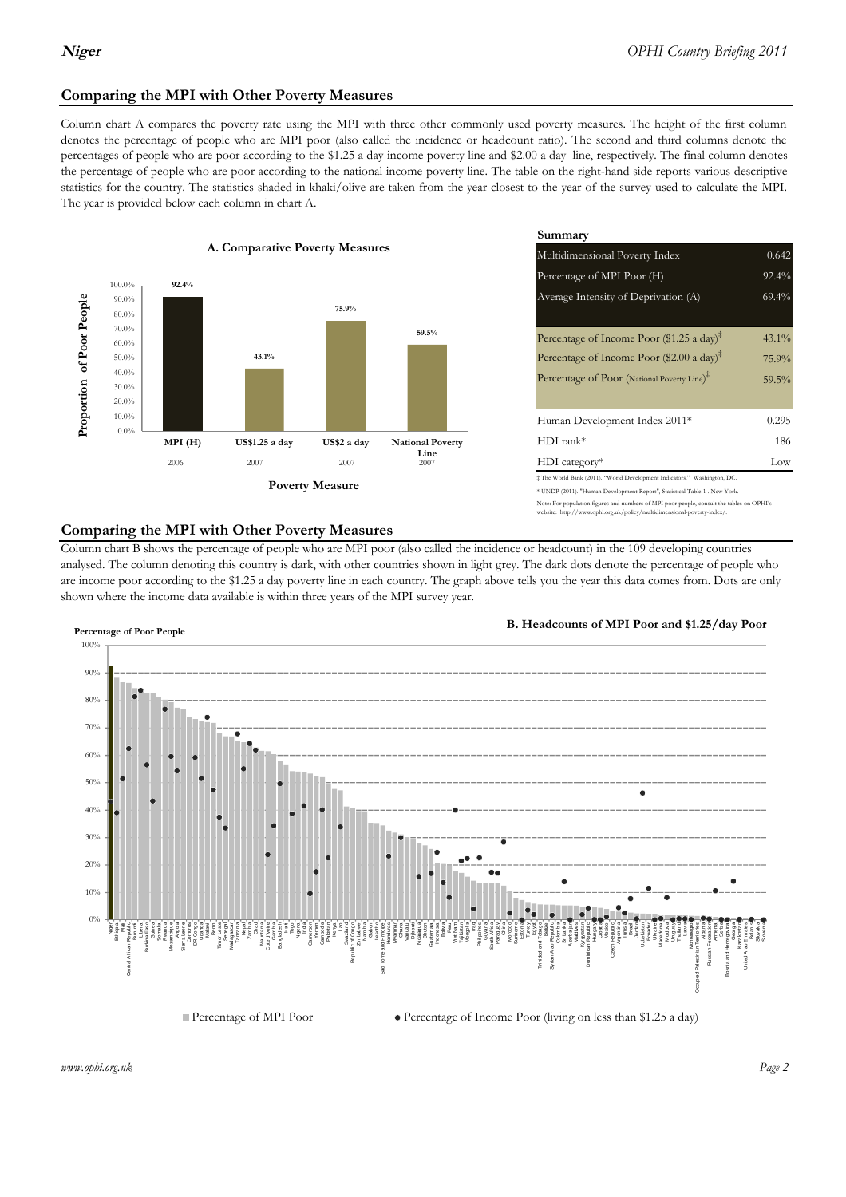# **Comparing the MPI with Other Poverty Measures**

Column chart A compares the poverty rate using the MPI with three other commonly used poverty measures. The height of the first column denotes the percentage of people who are MPI poor (also called the incidence or headcount ratio). The second and third columns denote the percentages of people who are poor according to the \$1.25 a day income poverty line and \$2.00 a day line, respectively. The final column denotes the percentage of people who are poor according to the national income poverty line. The table on the right-hand side reports various descriptive statistics for the country. The statistics shaded in khaki/olive are taken from the year closest to the year of the survey used to calculate the MPI. The year is provided below each column in chart A.



|                 |                         | Summary                                                                                                                                                |          |  |  |
|-----------------|-------------------------|--------------------------------------------------------------------------------------------------------------------------------------------------------|----------|--|--|
| erty Measures   |                         | 0.642<br>Multidimensional Poverty Index                                                                                                                |          |  |  |
|                 |                         | Percentage of MPI Poor (H)                                                                                                                             | 92.4%    |  |  |
| 75.9%           |                         | Average Intensity of Deprivation (A)                                                                                                                   | 69.4%    |  |  |
|                 | 59.5%                   | Percentage of Income Poor (\$1.25 a day) <sup><math>\ddagger</math></sup>                                                                              | $43.1\%$ |  |  |
|                 |                         | Percentage of Income Poor (\$2.00 a day) <sup><math>\ddagger</math></sup>                                                                              | 75.9%    |  |  |
|                 |                         | Percentage of Poor (National Poverty Line) <sup>#</sup>                                                                                                | 59.5%    |  |  |
|                 |                         | Human Development Index 2011*                                                                                                                          | 0.295    |  |  |
| US\$2 a day     | <b>National Poverty</b> | $HDI$ rank*                                                                                                                                            | 186      |  |  |
| 2007            | Line<br>2007            | $HDI category*$                                                                                                                                        | Low      |  |  |
| <b>⁄Ieasure</b> |                         | # The World Bank (2011). "World Development Indicators." Washington, DC.<br>* UNDP (2011). "Human Development Report", Statistical Table 1 . New York. |          |  |  |

te: For population figures and numbers of MPI poor people, consult the tables on OPHI's te: http://www.ophi.org.uk/policy/multidimensional-poverty-index/

### **Comparing the MPI with Other Poverty Measures**

Column chart B shows the percentage of people who are MPI poor (also called the incidence or headcount) in the 109 developing countries analysed. The column denoting this country is dark, with other countries shown in light grey. The dark dots denote the percentage of people who are income poor according to the \$1.25 a day poverty line in each country. The graph above tells you the year this data comes from. Dots are only shown where the income data available is within three years of the MPI survey year.



*www.ophi.org.uk Page 2*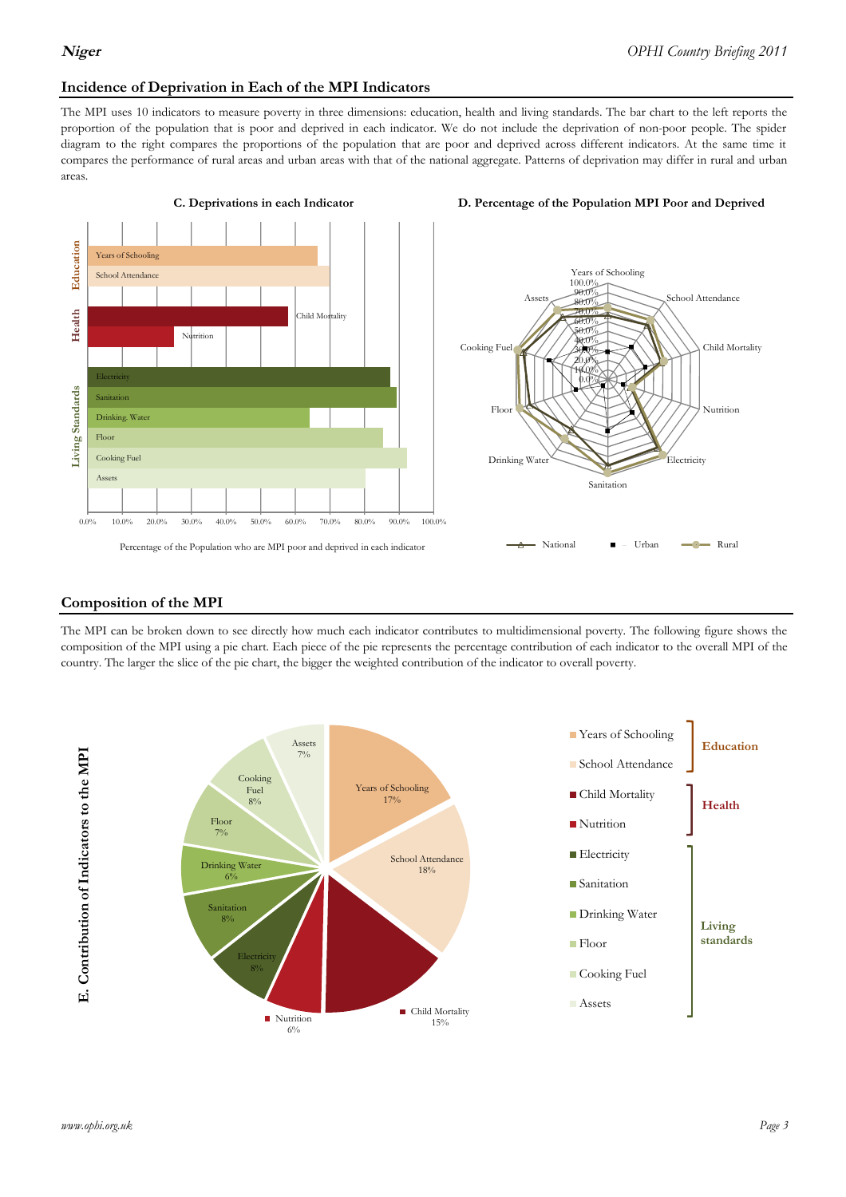## **Incidence of Deprivation in Each of the MPI Indicators**

The MPI uses 10 indicators to measure poverty in three dimensions: education, health and living standards. The bar chart to the left reports the proportion of the population that is poor and deprived in each indicator. We do not include the deprivation of non-poor people. The spider diagram to the right compares the proportions of the population that are poor and deprived across different indicators. At the same time it compares the performance of rural areas and urban areas with that of the national aggregate. Patterns of deprivation may differ in rural and urban areas.







#### **Composition of the MPI**

The MPI can be broken down to see directly how much each indicator contributes to multidimensional poverty. The following figure shows the composition of the MPI using a pie chart. Each piece of the pie represents the percentage contribution of each indicator to the overall MPI of the country. The larger the slice of the pie chart, the bigger the weighted contribution of the indicator to overall poverty.

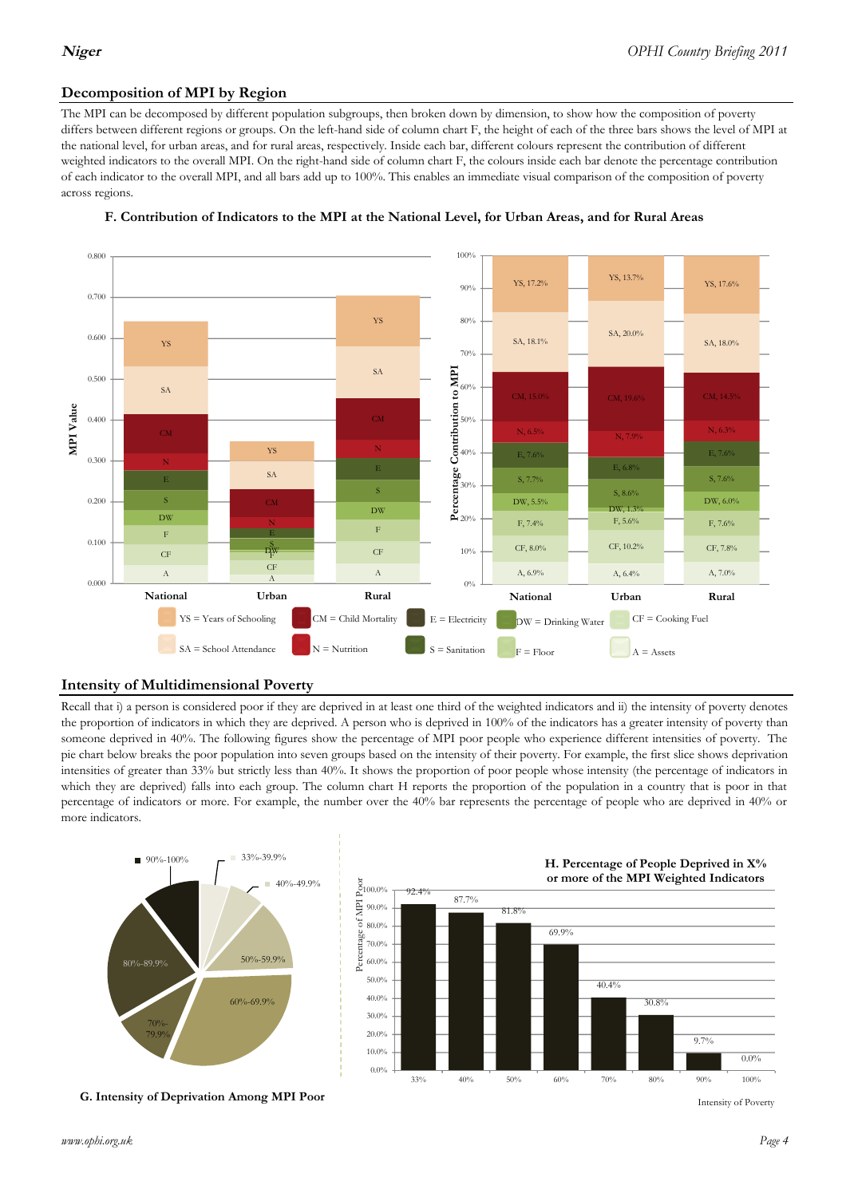# **Decomposition of MPI by Region**

The MPI can be decomposed by different population subgroups, then broken down by dimension, to show how the composition of poverty differs between different regions or groups. On the left-hand side of column chart F, the height of each of the three bars shows the level of MPI at the national level, for urban areas, and for rural areas, respectively. Inside each bar, different colours represent the contribution of different weighted indicators to the overall MPI. On the right-hand side of column chart F, the colours inside each bar denote the percentage contribution of each indicator to the overall MPI, and all bars add up to 100%. This enables an immediate visual comparison of the composition of poverty across regions.



### **F. Contribution of Indicators to the MPI at the National Level, for Urban Areas, and for Rural Areas**

## **Intensity of Multidimensional Poverty**

Recall that i) a person is considered poor if they are deprived in at least one third of the weighted indicators and ii) the intensity of poverty denotes the proportion of indicators in which they are deprived. A person who is deprived in 100% of the indicators has a greater intensity of poverty than someone deprived in 40%. The following figures show the percentage of MPI poor people who experience different intensities of poverty. The pie chart below breaks the poor population into seven groups based on the intensity of their poverty. For example, the first slice shows deprivation intensities of greater than 33% but strictly less than 40%. It shows the proportion of poor people whose intensity (the percentage of indicators in which they are deprived) falls into each group. The column chart H reports the proportion of the population in a country that is poor in that percentage of indicators or more. For example, the number over the 40% bar represents the percentage of people who are deprived in 40% or more indicators.



**G. Intensity of Deprivation Among MPI Poor**

Intensity of Poverty